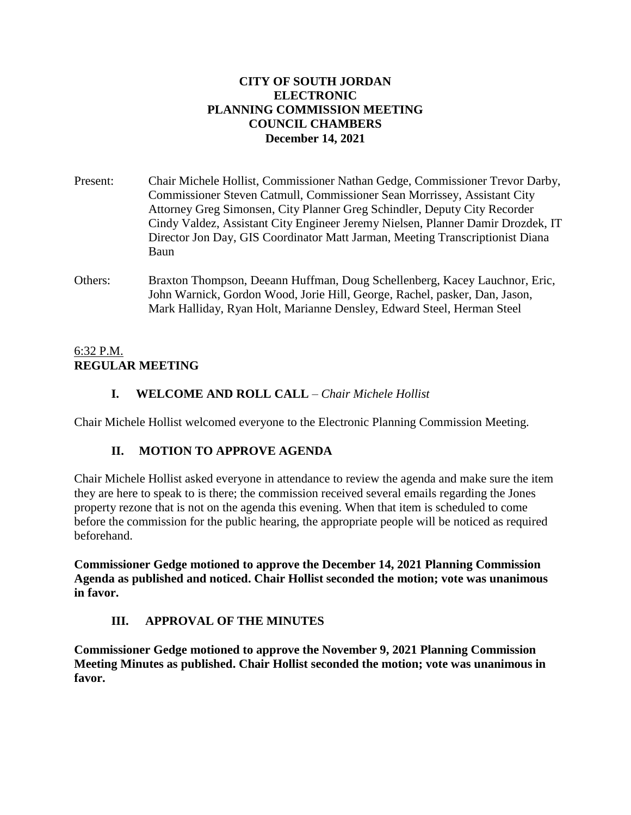## **CITY OF SOUTH JORDAN ELECTRONIC PLANNING COMMISSION MEETING COUNCIL CHAMBERS December 14, 2021**

- Present: Chair Michele Hollist, Commissioner Nathan Gedge, Commissioner Trevor Darby, Commissioner Steven Catmull, Commissioner Sean Morrissey, Assistant City Attorney Greg Simonsen, City Planner Greg Schindler, Deputy City Recorder Cindy Valdez, Assistant City Engineer Jeremy Nielsen, Planner Damir Drozdek, IT Director Jon Day, GIS Coordinator Matt Jarman, Meeting Transcriptionist Diana Baun
- Others: Braxton Thompson, Deeann Huffman, Doug Schellenberg, Kacey Lauchnor, Eric, John Warnick, Gordon Wood, Jorie Hill, George, Rachel, pasker, Dan, Jason, Mark Halliday, Ryan Holt, Marianne Densley, Edward Steel, Herman Steel

# 6:32 P.M. **REGULAR MEETING**

# **I. WELCOME AND ROLL CALL** – *Chair Michele Hollist*

Chair Michele Hollist welcomed everyone to the Electronic Planning Commission Meeting.

# **II. MOTION TO APPROVE AGENDA**

Chair Michele Hollist asked everyone in attendance to review the agenda and make sure the item they are here to speak to is there; the commission received several emails regarding the Jones property rezone that is not on the agenda this evening. When that item is scheduled to come before the commission for the public hearing, the appropriate people will be noticed as required beforehand.

**Commissioner Gedge motioned to approve the December 14, 2021 Planning Commission Agenda as published and noticed. Chair Hollist seconded the motion; vote was unanimous in favor.**

# **III. APPROVAL OF THE MINUTES**

**Commissioner Gedge motioned to approve the November 9, 2021 Planning Commission Meeting Minutes as published. Chair Hollist seconded the motion; vote was unanimous in favor.**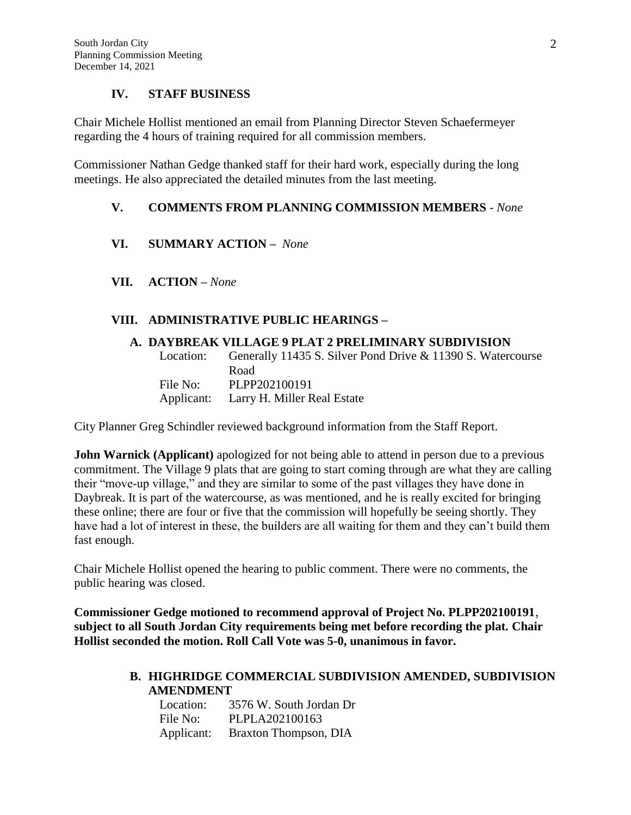## **IV. STAFF BUSINESS**

Chair Michele Hollist mentioned an email from Planning Director Steven Schaefermeyer regarding the 4 hours of training required for all commission members.

Commissioner Nathan Gedge thanked staff for their hard work, especially during the long meetings. He also appreciated the detailed minutes from the last meeting.

### **V. COMMENTS FROM PLANNING COMMISSION MEMBERS** *- None*

- **VI. SUMMARY ACTION –** *None*
- **VII. ACTION –** *None*

### **VIII. ADMINISTRATIVE PUBLIC HEARINGS –**

#### **A. DAYBREAK VILLAGE 9 PLAT 2 PRELIMINARY SUBDIVISION**

Location: Generally 11435 S. Silver Pond Drive & 11390 S. Watercourse Road File No: PLPP202100191 Applicant: Larry H. Miller Real Estate

City Planner Greg Schindler reviewed background information from the Staff Report.

**John Warnick (Applicant)** apologized for not being able to attend in person due to a previous commitment. The Village 9 plats that are going to start coming through are what they are calling their "move-up village," and they are similar to some of the past villages they have done in Daybreak. It is part of the watercourse, as was mentioned, and he is really excited for bringing these online; there are four or five that the commission will hopefully be seeing shortly. They have had a lot of interest in these, the builders are all waiting for them and they can't build them fast enough.

Chair Michele Hollist opened the hearing to public comment. There were no comments, the public hearing was closed.

**Commissioner Gedge motioned to recommend approval of Project No. PLPP202100191**, **subject to all South Jordan City requirements being met before recording the plat. Chair Hollist seconded the motion. Roll Call Vote was 5-0, unanimous in favor.**

### **B. HIGHRIDGE COMMERCIAL SUBDIVISION AMENDED, SUBDIVISION AMENDMENT**

| Location:  | 3576 W. South Jordan Dr |
|------------|-------------------------|
| File No:   | PLPLA202100163          |
| Applicant: | Braxton Thompson, DIA   |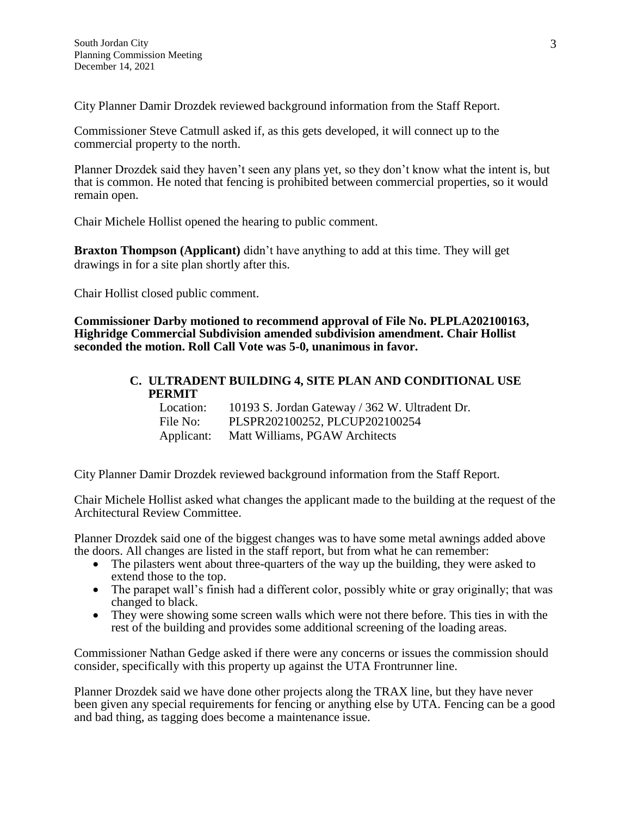City Planner Damir Drozdek reviewed background information from the Staff Report.

Commissioner Steve Catmull asked if, as this gets developed, it will connect up to the commercial property to the north.

Planner Drozdek said they haven't seen any plans yet, so they don't know what the intent is, but that is common. He noted that fencing is prohibited between commercial properties, so it would remain open.

Chair Michele Hollist opened the hearing to public comment.

**Braxton Thompson (Applicant)** didn't have anything to add at this time. They will get drawings in for a site plan shortly after this.

Chair Hollist closed public comment.

**Commissioner Darby motioned to recommend approval of File No. PLPLA202100163, Highridge Commercial Subdivision amended subdivision amendment. Chair Hollist seconded the motion. Roll Call Vote was 5-0, unanimous in favor.**

### **C. ULTRADENT BUILDING 4, SITE PLAN AND CONDITIONAL USE PERMIT**

| Location: | 10193 S. Jordan Gateway / 362 W. Ultradent Dr. |
|-----------|------------------------------------------------|
| File No:  | PLSPR202100252, PLCUP202100254                 |
|           | Applicant: Matt Williams, PGAW Architects      |

City Planner Damir Drozdek reviewed background information from the Staff Report.

Chair Michele Hollist asked what changes the applicant made to the building at the request of the Architectural Review Committee.

Planner Drozdek said one of the biggest changes was to have some metal awnings added above the doors. All changes are listed in the staff report, but from what he can remember:

- The pilasters went about three-quarters of the way up the building, they were asked to extend those to the top.
- The parapet wall's finish had a different color, possibly white or gray originally; that was changed to black.
- They were showing some screen walls which were not there before. This ties in with the rest of the building and provides some additional screening of the loading areas.

Commissioner Nathan Gedge asked if there were any concerns or issues the commission should consider, specifically with this property up against the UTA Frontrunner line.

Planner Drozdek said we have done other projects along the TRAX line, but they have never been given any special requirements for fencing or anything else by UTA. Fencing can be a good and bad thing, as tagging does become a maintenance issue.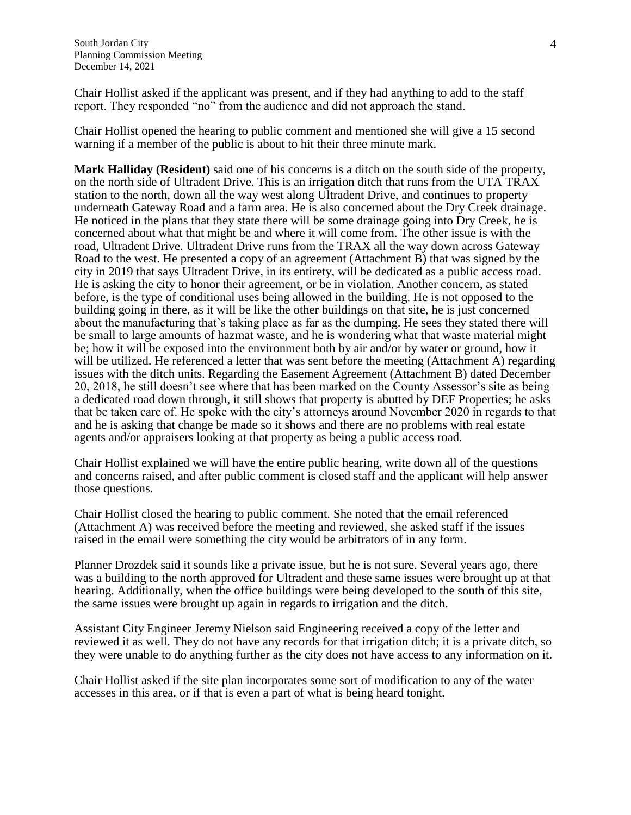Chair Hollist asked if the applicant was present, and if they had anything to add to the staff report. They responded "no" from the audience and did not approach the stand.

Chair Hollist opened the hearing to public comment and mentioned she will give a 15 second warning if a member of the public is about to hit their three minute mark.

**Mark Halliday (Resident)** said one of his concerns is a ditch on the south side of the property, on the north side of Ultradent Drive. This is an irrigation ditch that runs from the UTA TRAX station to the north, down all the way west along Ultradent Drive, and continues to property underneath Gateway Road and a farm area. He is also concerned about the Dry Creek drainage. He noticed in the plans that they state there will be some drainage going into Dry Creek, he is concerned about what that might be and where it will come from. The other issue is with the road, Ultradent Drive. Ultradent Drive runs from the TRAX all the way down across Gateway Road to the west. He presented a copy of an agreement (Attachment B) that was signed by the city in 2019 that says Ultradent Drive, in its entirety, will be dedicated as a public access road. He is asking the city to honor their agreement, or be in violation. Another concern, as stated before, is the type of conditional uses being allowed in the building. He is not opposed to the building going in there, as it will be like the other buildings on that site, he is just concerned about the manufacturing that's taking place as far as the dumping. He sees they stated there will be small to large amounts of hazmat waste, and he is wondering what that waste material might be; how it will be exposed into the environment both by air and/or by water or ground, how it will be utilized. He referenced a letter that was sent before the meeting (Attachment A) regarding issues with the ditch units. Regarding the Easement Agreement (Attachment B) dated December 20, 2018, he still doesn't see where that has been marked on the County Assessor's site as being a dedicated road down through, it still shows that property is abutted by DEF Properties; he asks that be taken care of. He spoke with the city's attorneys around November 2020 in regards to that and he is asking that change be made so it shows and there are no problems with real estate agents and/or appraisers looking at that property as being a public access road.

Chair Hollist explained we will have the entire public hearing, write down all of the questions and concerns raised, and after public comment is closed staff and the applicant will help answer those questions.

Chair Hollist closed the hearing to public comment. She noted that the email referenced (Attachment A) was received before the meeting and reviewed, she asked staff if the issues raised in the email were something the city would be arbitrators of in any form.

Planner Drozdek said it sounds like a private issue, but he is not sure. Several years ago, there was a building to the north approved for Ultradent and these same issues were brought up at that hearing. Additionally, when the office buildings were being developed to the south of this site, the same issues were brought up again in regards to irrigation and the ditch.

Assistant City Engineer Jeremy Nielson said Engineering received a copy of the letter and reviewed it as well. They do not have any records for that irrigation ditch; it is a private ditch, so they were unable to do anything further as the city does not have access to any information on it.

Chair Hollist asked if the site plan incorporates some sort of modification to any of the water accesses in this area, or if that is even a part of what is being heard tonight.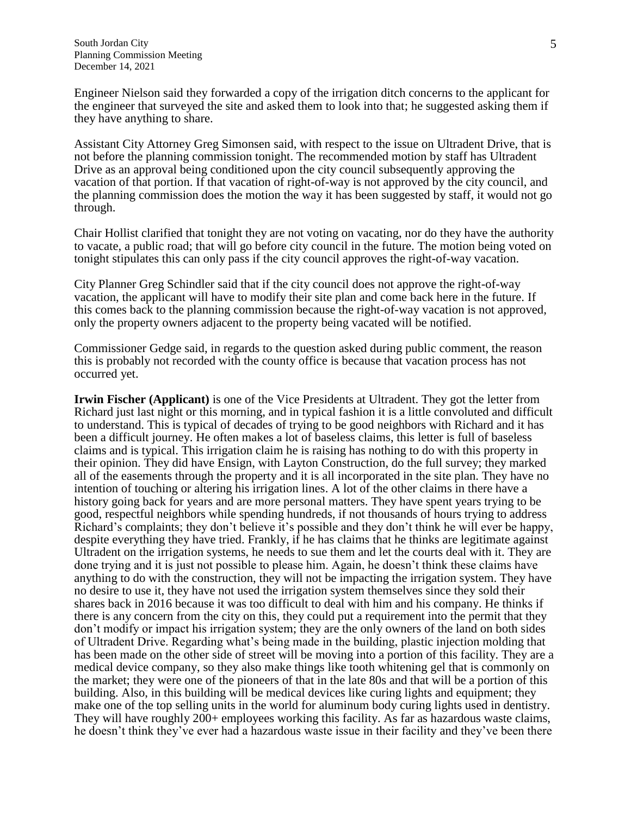Engineer Nielson said they forwarded a copy of the irrigation ditch concerns to the applicant for the engineer that surveyed the site and asked them to look into that; he suggested asking them if they have anything to share.

Assistant City Attorney Greg Simonsen said, with respect to the issue on Ultradent Drive, that is not before the planning commission tonight. The recommended motion by staff has Ultradent Drive as an approval being conditioned upon the city council subsequently approving the vacation of that portion. If that vacation of right-of-way is not approved by the city council, and the planning commission does the motion the way it has been suggested by staff, it would not go through.

Chair Hollist clarified that tonight they are not voting on vacating, nor do they have the authority to vacate, a public road; that will go before city council in the future. The motion being voted on tonight stipulates this can only pass if the city council approves the right-of-way vacation.

City Planner Greg Schindler said that if the city council does not approve the right-of-way vacation, the applicant will have to modify their site plan and come back here in the future. If this comes back to the planning commission because the right-of-way vacation is not approved, only the property owners adjacent to the property being vacated will be notified.

Commissioner Gedge said, in regards to the question asked during public comment, the reason this is probably not recorded with the county office is because that vacation process has not occurred yet.

**Irwin Fischer (Applicant)** is one of the Vice Presidents at Ultradent. They got the letter from Richard just last night or this morning, and in typical fashion it is a little convoluted and difficult to understand. This is typical of decades of trying to be good neighbors with Richard and it has been a difficult journey. He often makes a lot of baseless claims, this letter is full of baseless claims and is typical. This irrigation claim he is raising has nothing to do with this property in their opinion. They did have Ensign, with Layton Construction, do the full survey; they marked all of the easements through the property and it is all incorporated in the site plan. They have no intention of touching or altering his irrigation lines. A lot of the other claims in there have a history going back for years and are more personal matters. They have spent years trying to be good, respectful neighbors while spending hundreds, if not thousands of hours trying to address Richard's complaints; they don't believe it's possible and they don't think he will ever be happy, despite everything they have tried. Frankly, if he has claims that he thinks are legitimate against Ultradent on the irrigation systems, he needs to sue them and let the courts deal with it. They are done trying and it is just not possible to please him. Again, he doesn't think these claims have anything to do with the construction, they will not be impacting the irrigation system. They have no desire to use it, they have not used the irrigation system themselves since they sold their shares back in 2016 because it was too difficult to deal with him and his company. He thinks if there is any concern from the city on this, they could put a requirement into the permit that they don't modify or impact his irrigation system; they are the only owners of the land on both sides of Ultradent Drive. Regarding what's being made in the building, plastic injection molding that has been made on the other side of street will be moving into a portion of this facility. They are a medical device company, so they also make things like tooth whitening gel that is commonly on the market; they were one of the pioneers of that in the late 80s and that will be a portion of this building. Also, in this building will be medical devices like curing lights and equipment; they make one of the top selling units in the world for aluminum body curing lights used in dentistry. They will have roughly 200+ employees working this facility. As far as hazardous waste claims, he doesn't think they've ever had a hazardous waste issue in their facility and they've been there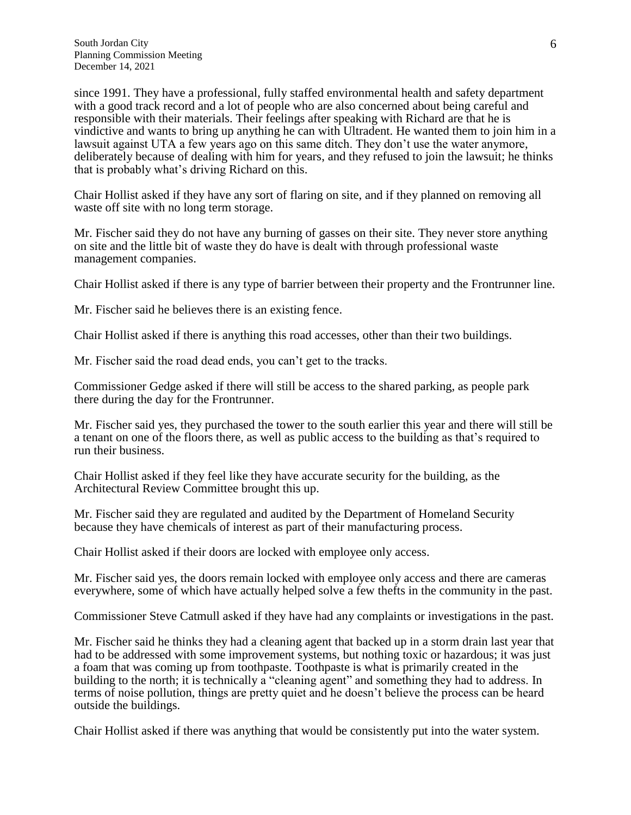since 1991. They have a professional, fully staffed environmental health and safety department with a good track record and a lot of people who are also concerned about being careful and responsible with their materials. Their feelings after speaking with Richard are that he is vindictive and wants to bring up anything he can with Ultradent. He wanted them to join him in a lawsuit against UTA a few years ago on this same ditch. They don't use the water anymore, deliberately because of dealing with him for years, and they refused to join the lawsuit; he thinks that is probably what's driving Richard on this.

Chair Hollist asked if they have any sort of flaring on site, and if they planned on removing all waste off site with no long term storage.

Mr. Fischer said they do not have any burning of gasses on their site. They never store anything on site and the little bit of waste they do have is dealt with through professional waste management companies.

Chair Hollist asked if there is any type of barrier between their property and the Frontrunner line.

Mr. Fischer said he believes there is an existing fence.

Chair Hollist asked if there is anything this road accesses, other than their two buildings.

Mr. Fischer said the road dead ends, you can't get to the tracks.

Commissioner Gedge asked if there will still be access to the shared parking, as people park there during the day for the Frontrunner.

Mr. Fischer said yes, they purchased the tower to the south earlier this year and there will still be a tenant on one of the floors there, as well as public access to the building as that's required to run their business.

Chair Hollist asked if they feel like they have accurate security for the building, as the Architectural Review Committee brought this up.

Mr. Fischer said they are regulated and audited by the Department of Homeland Security because they have chemicals of interest as part of their manufacturing process.

Chair Hollist asked if their doors are locked with employee only access.

Mr. Fischer said yes, the doors remain locked with employee only access and there are cameras everywhere, some of which have actually helped solve a few thefts in the community in the past.

Commissioner Steve Catmull asked if they have had any complaints or investigations in the past.

Mr. Fischer said he thinks they had a cleaning agent that backed up in a storm drain last year that had to be addressed with some improvement systems, but nothing toxic or hazardous; it was just a foam that was coming up from toothpaste. Toothpaste is what is primarily created in the building to the north; it is technically a "cleaning agent" and something they had to address. In terms of noise pollution, things are pretty quiet and he doesn't believe the process can be heard outside the buildings.

Chair Hollist asked if there was anything that would be consistently put into the water system.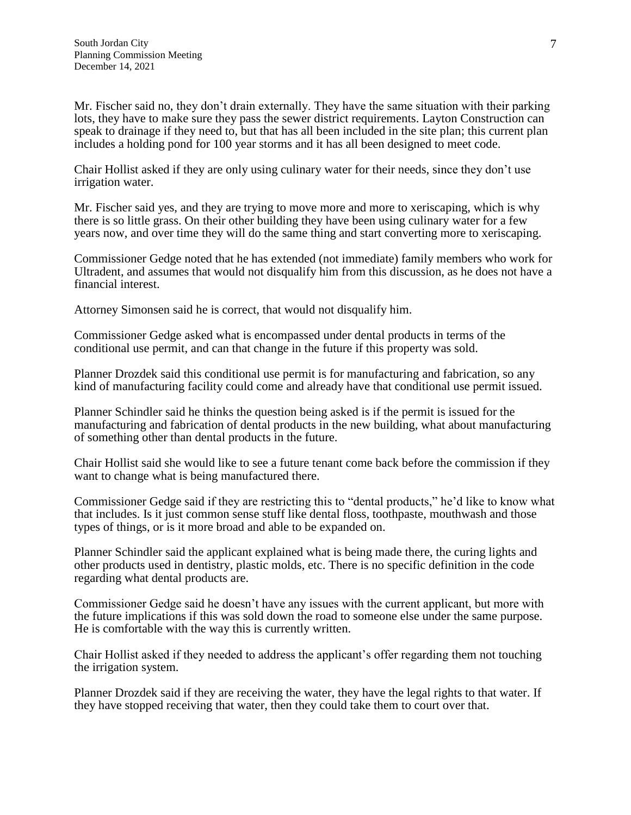Mr. Fischer said no, they don't drain externally. They have the same situation with their parking lots, they have to make sure they pass the sewer district requirements. Layton Construction can speak to drainage if they need to, but that has all been included in the site plan; this current plan includes a holding pond for 100 year storms and it has all been designed to meet code.

Chair Hollist asked if they are only using culinary water for their needs, since they don't use irrigation water.

Mr. Fischer said yes, and they are trying to move more and more to xeriscaping, which is why there is so little grass. On their other building they have been using culinary water for a few years now, and over time they will do the same thing and start converting more to xeriscaping.

Commissioner Gedge noted that he has extended (not immediate) family members who work for Ultradent, and assumes that would not disqualify him from this discussion, as he does not have a financial interest.

Attorney Simonsen said he is correct, that would not disqualify him.

Commissioner Gedge asked what is encompassed under dental products in terms of the conditional use permit, and can that change in the future if this property was sold.

Planner Drozdek said this conditional use permit is for manufacturing and fabrication, so any kind of manufacturing facility could come and already have that conditional use permit issued.

Planner Schindler said he thinks the question being asked is if the permit is issued for the manufacturing and fabrication of dental products in the new building, what about manufacturing of something other than dental products in the future.

Chair Hollist said she would like to see a future tenant come back before the commission if they want to change what is being manufactured there.

Commissioner Gedge said if they are restricting this to "dental products," he'd like to know what that includes. Is it just common sense stuff like dental floss, toothpaste, mouthwash and those types of things, or is it more broad and able to be expanded on.

Planner Schindler said the applicant explained what is being made there, the curing lights and other products used in dentistry, plastic molds, etc. There is no specific definition in the code regarding what dental products are.

Commissioner Gedge said he doesn't have any issues with the current applicant, but more with the future implications if this was sold down the road to someone else under the same purpose. He is comfortable with the way this is currently written.

Chair Hollist asked if they needed to address the applicant's offer regarding them not touching the irrigation system.

Planner Drozdek said if they are receiving the water, they have the legal rights to that water. If they have stopped receiving that water, then they could take them to court over that.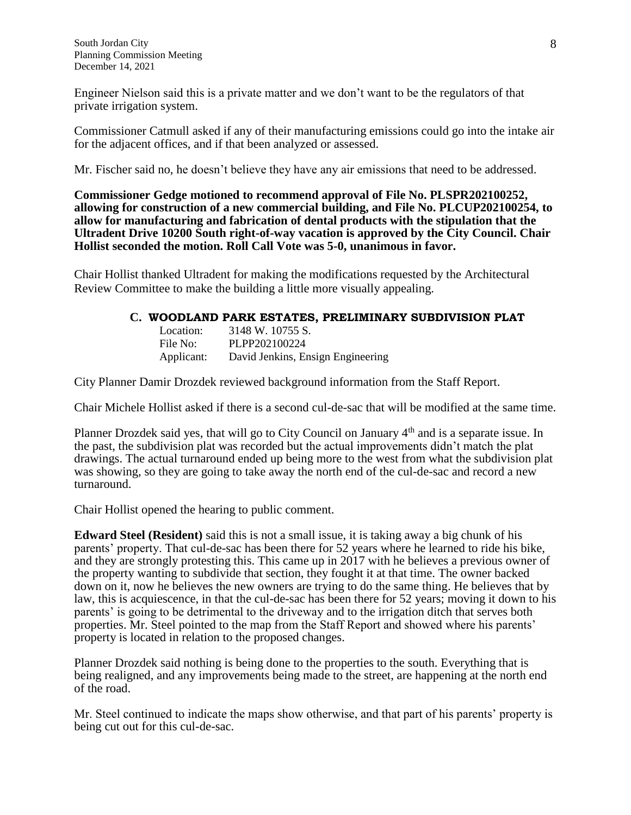Engineer Nielson said this is a private matter and we don't want to be the regulators of that private irrigation system.

Commissioner Catmull asked if any of their manufacturing emissions could go into the intake air for the adjacent offices, and if that been analyzed or assessed.

Mr. Fischer said no, he doesn't believe they have any air emissions that need to be addressed.

**Commissioner Gedge motioned to recommend approval of File No. PLSPR202100252, allowing for construction of a new commercial building, and File No. PLCUP202100254, to allow for manufacturing and fabrication of dental products with the stipulation that the Ultradent Drive 10200 South right-of-way vacation is approved by the City Council. Chair Hollist seconded the motion. Roll Call Vote was 5-0, unanimous in favor.**

Chair Hollist thanked Ultradent for making the modifications requested by the Architectural Review Committee to make the building a little more visually appealing.

#### **C. WOODLAND PARK ESTATES, PRELIMINARY SUBDIVISION PLAT**

Location: 3148 W. 10755 S. File No: PLPP202100224 Applicant: David Jenkins, Ensign Engineering

City Planner Damir Drozdek reviewed background information from the Staff Report.

Chair Michele Hollist asked if there is a second cul-de-sac that will be modified at the same time.

Planner Drozdek said yes, that will go to City Council on January 4<sup>th</sup> and is a separate issue. In the past, the subdivision plat was recorded but the actual improvements didn't match the plat drawings. The actual turnaround ended up being more to the west from what the subdivision plat was showing, so they are going to take away the north end of the cul-de-sac and record a new turnaround.

Chair Hollist opened the hearing to public comment.

**Edward Steel (Resident)** said this is not a small issue, it is taking away a big chunk of his parents' property. That cul-de-sac has been there for 52 years where he learned to ride his bike, and they are strongly protesting this. This came up in 2017 with he believes a previous owner of the property wanting to subdivide that section, they fought it at that time. The owner backed down on it, now he believes the new owners are trying to do the same thing. He believes that by law, this is acquiescence, in that the cul-de-sac has been there for 52 years; moving it down to his parents' is going to be detrimental to the driveway and to the irrigation ditch that serves both properties. Mr. Steel pointed to the map from the Staff Report and showed where his parents' property is located in relation to the proposed changes.

Planner Drozdek said nothing is being done to the properties to the south. Everything that is being realigned, and any improvements being made to the street, are happening at the north end of the road.

Mr. Steel continued to indicate the maps show otherwise, and that part of his parents' property is being cut out for this cul-de-sac.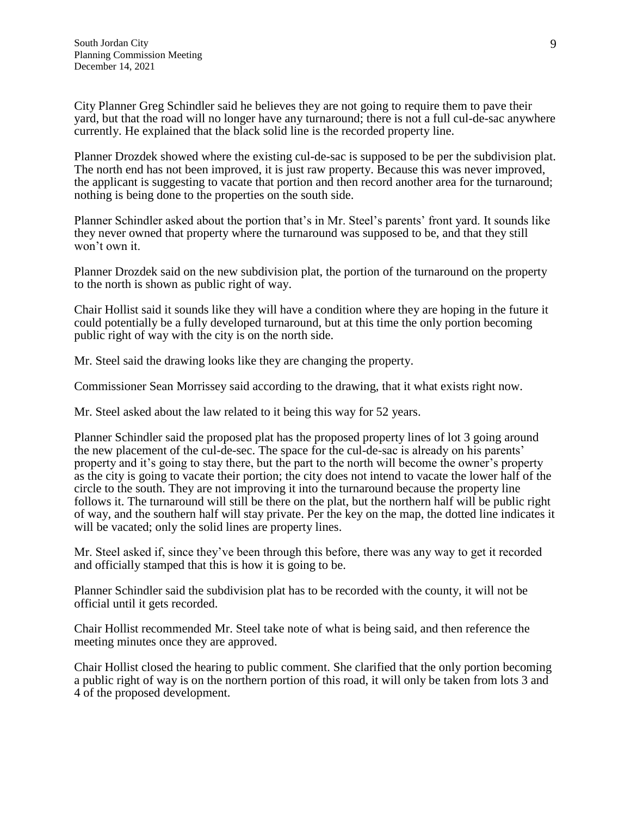City Planner Greg Schindler said he believes they are not going to require them to pave their yard, but that the road will no longer have any turnaround; there is not a full cul-de-sac anywhere currently. He explained that the black solid line is the recorded property line.

Planner Drozdek showed where the existing cul-de-sac is supposed to be per the subdivision plat. The north end has not been improved, it is just raw property. Because this was never improved, the applicant is suggesting to vacate that portion and then record another area for the turnaround; nothing is being done to the properties on the south side.

Planner Schindler asked about the portion that's in Mr. Steel's parents' front yard. It sounds like they never owned that property where the turnaround was supposed to be, and that they still won't own it.

Planner Drozdek said on the new subdivision plat, the portion of the turnaround on the property to the north is shown as public right of way.

Chair Hollist said it sounds like they will have a condition where they are hoping in the future it could potentially be a fully developed turnaround, but at this time the only portion becoming public right of way with the city is on the north side.

Mr. Steel said the drawing looks like they are changing the property.

Commissioner Sean Morrissey said according to the drawing, that it what exists right now.

Mr. Steel asked about the law related to it being this way for 52 years.

Planner Schindler said the proposed plat has the proposed property lines of lot 3 going around the new placement of the cul-de-sec. The space for the cul-de-sac is already on his parents' property and it's going to stay there, but the part to the north will become the owner's property as the city is going to vacate their portion; the city does not intend to vacate the lower half of the circle to the south. They are not improving it into the turnaround because the property line follows it. The turnaround will still be there on the plat, but the northern half will be public right of way, and the southern half will stay private. Per the key on the map, the dotted line indicates it will be vacated; only the solid lines are property lines.

Mr. Steel asked if, since they've been through this before, there was any way to get it recorded and officially stamped that this is how it is going to be.

Planner Schindler said the subdivision plat has to be recorded with the county, it will not be official until it gets recorded.

Chair Hollist recommended Mr. Steel take note of what is being said, and then reference the meeting minutes once they are approved.

Chair Hollist closed the hearing to public comment. She clarified that the only portion becoming a public right of way is on the northern portion of this road, it will only be taken from lots 3 and 4 of the proposed development.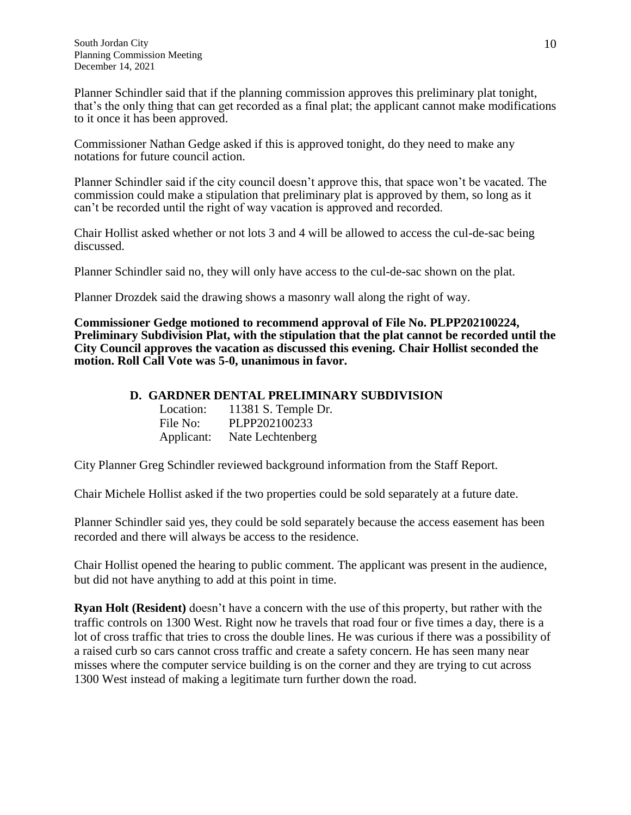Planner Schindler said that if the planning commission approves this preliminary plat tonight, that's the only thing that can get recorded as a final plat; the applicant cannot make modifications to it once it has been approved.

Commissioner Nathan Gedge asked if this is approved tonight, do they need to make any notations for future council action.

Planner Schindler said if the city council doesn't approve this, that space won't be vacated. The commission could make a stipulation that preliminary plat is approved by them, so long as it can't be recorded until the right of way vacation is approved and recorded.

Chair Hollist asked whether or not lots 3 and 4 will be allowed to access the cul-de-sac being discussed.

Planner Schindler said no, they will only have access to the cul-de-sac shown on the plat.

Planner Drozdek said the drawing shows a masonry wall along the right of way.

**Commissioner Gedge motioned to recommend approval of File No. PLPP202100224, Preliminary Subdivision Plat, with the stipulation that the plat cannot be recorded until the City Council approves the vacation as discussed this evening. Chair Hollist seconded the motion. Roll Call Vote was 5-0, unanimous in favor.**

### **D. GARDNER DENTAL PRELIMINARY SUBDIVISION**

| Location:  | 11381 S. Temple Dr. |
|------------|---------------------|
| File No:   | PLPP202100233       |
| Applicant: | Nate Lechtenberg    |

City Planner Greg Schindler reviewed background information from the Staff Report.

Chair Michele Hollist asked if the two properties could be sold separately at a future date.

Planner Schindler said yes, they could be sold separately because the access easement has been recorded and there will always be access to the residence.

Chair Hollist opened the hearing to public comment. The applicant was present in the audience, but did not have anything to add at this point in time.

**Ryan Holt (Resident)** doesn't have a concern with the use of this property, but rather with the traffic controls on 1300 West. Right now he travels that road four or five times a day, there is a lot of cross traffic that tries to cross the double lines. He was curious if there was a possibility of a raised curb so cars cannot cross traffic and create a safety concern. He has seen many near misses where the computer service building is on the corner and they are trying to cut across 1300 West instead of making a legitimate turn further down the road.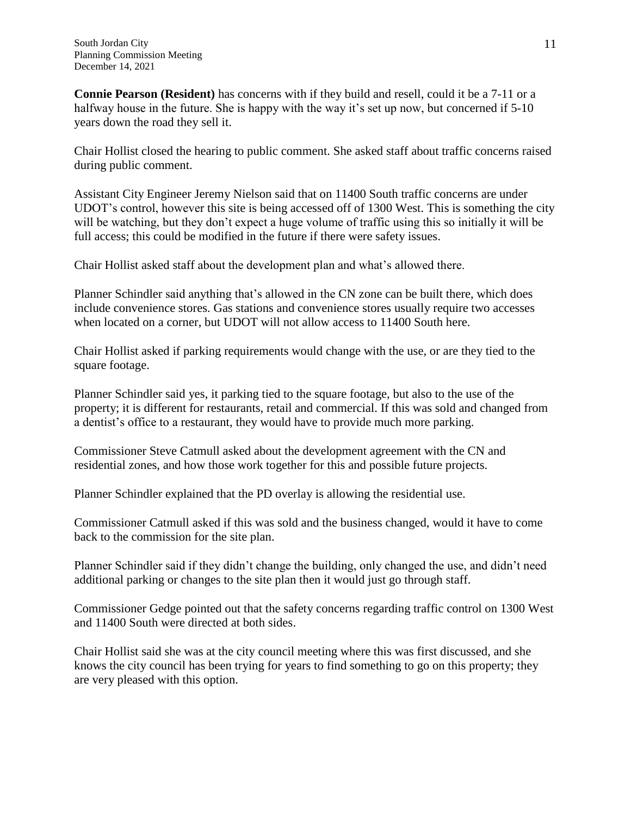**Connie Pearson (Resident)** has concerns with if they build and resell, could it be a 7-11 or a halfway house in the future. She is happy with the way it's set up now, but concerned if 5-10 years down the road they sell it.

Chair Hollist closed the hearing to public comment. She asked staff about traffic concerns raised during public comment.

Assistant City Engineer Jeremy Nielson said that on 11400 South traffic concerns are under UDOT's control, however this site is being accessed off of 1300 West. This is something the city will be watching, but they don't expect a huge volume of traffic using this so initially it will be full access; this could be modified in the future if there were safety issues.

Chair Hollist asked staff about the development plan and what's allowed there.

Planner Schindler said anything that's allowed in the CN zone can be built there, which does include convenience stores. Gas stations and convenience stores usually require two accesses when located on a corner, but UDOT will not allow access to 11400 South here.

Chair Hollist asked if parking requirements would change with the use, or are they tied to the square footage.

Planner Schindler said yes, it parking tied to the square footage, but also to the use of the property; it is different for restaurants, retail and commercial. If this was sold and changed from a dentist's office to a restaurant, they would have to provide much more parking.

Commissioner Steve Catmull asked about the development agreement with the CN and residential zones, and how those work together for this and possible future projects.

Planner Schindler explained that the PD overlay is allowing the residential use.

Commissioner Catmull asked if this was sold and the business changed, would it have to come back to the commission for the site plan.

Planner Schindler said if they didn't change the building, only changed the use, and didn't need additional parking or changes to the site plan then it would just go through staff.

Commissioner Gedge pointed out that the safety concerns regarding traffic control on 1300 West and 11400 South were directed at both sides.

Chair Hollist said she was at the city council meeting where this was first discussed, and she knows the city council has been trying for years to find something to go on this property; they are very pleased with this option.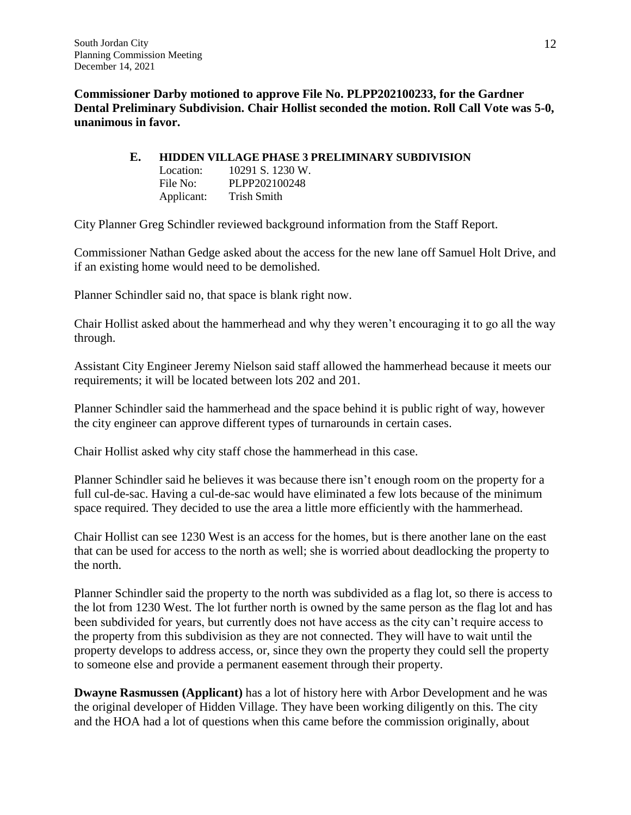**Commissioner Darby motioned to approve File No. PLPP202100233, for the Gardner Dental Preliminary Subdivision. Chair Hollist seconded the motion. Roll Call Vote was 5-0, unanimous in favor.**

### **E. HIDDEN VILLAGE PHASE 3 PRELIMINARY SUBDIVISION**

| Location:  | 10291 S. 1230 W. |
|------------|------------------|
| File No:   | PLPP202100248    |
| Applicant: | Trish Smith      |

City Planner Greg Schindler reviewed background information from the Staff Report.

Commissioner Nathan Gedge asked about the access for the new lane off Samuel Holt Drive, and if an existing home would need to be demolished.

Planner Schindler said no, that space is blank right now.

Chair Hollist asked about the hammerhead and why they weren't encouraging it to go all the way through.

Assistant City Engineer Jeremy Nielson said staff allowed the hammerhead because it meets our requirements; it will be located between lots 202 and 201.

Planner Schindler said the hammerhead and the space behind it is public right of way, however the city engineer can approve different types of turnarounds in certain cases.

Chair Hollist asked why city staff chose the hammerhead in this case.

Planner Schindler said he believes it was because there isn't enough room on the property for a full cul-de-sac. Having a cul-de-sac would have eliminated a few lots because of the minimum space required. They decided to use the area a little more efficiently with the hammerhead.

Chair Hollist can see 1230 West is an access for the homes, but is there another lane on the east that can be used for access to the north as well; she is worried about deadlocking the property to the north.

Planner Schindler said the property to the north was subdivided as a flag lot, so there is access to the lot from 1230 West. The lot further north is owned by the same person as the flag lot and has been subdivided for years, but currently does not have access as the city can't require access to the property from this subdivision as they are not connected. They will have to wait until the property develops to address access, or, since they own the property they could sell the property to someone else and provide a permanent easement through their property.

**Dwayne Rasmussen (Applicant)** has a lot of history here with Arbor Development and he was the original developer of Hidden Village. They have been working diligently on this. The city and the HOA had a lot of questions when this came before the commission originally, about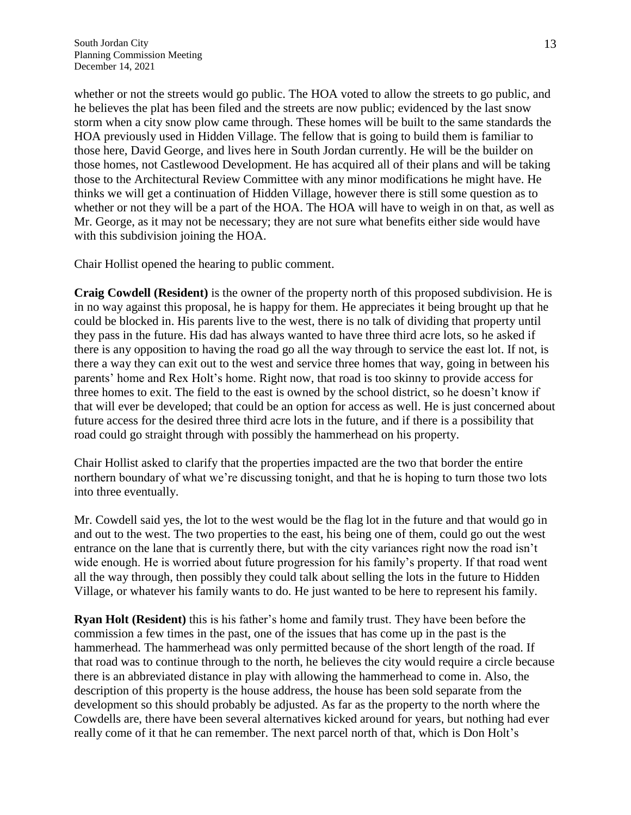whether or not the streets would go public. The HOA voted to allow the streets to go public, and he believes the plat has been filed and the streets are now public; evidenced by the last snow storm when a city snow plow came through. These homes will be built to the same standards the HOA previously used in Hidden Village. The fellow that is going to build them is familiar to those here, David George, and lives here in South Jordan currently. He will be the builder on those homes, not Castlewood Development. He has acquired all of their plans and will be taking those to the Architectural Review Committee with any minor modifications he might have. He thinks we will get a continuation of Hidden Village, however there is still some question as to whether or not they will be a part of the HOA. The HOA will have to weigh in on that, as well as Mr. George, as it may not be necessary; they are not sure what benefits either side would have with this subdivision joining the HOA.

Chair Hollist opened the hearing to public comment.

**Craig Cowdell (Resident)** is the owner of the property north of this proposed subdivision. He is in no way against this proposal, he is happy for them. He appreciates it being brought up that he could be blocked in. His parents live to the west, there is no talk of dividing that property until they pass in the future. His dad has always wanted to have three third acre lots, so he asked if there is any opposition to having the road go all the way through to service the east lot. If not, is there a way they can exit out to the west and service three homes that way, going in between his parents' home and Rex Holt's home. Right now, that road is too skinny to provide access for three homes to exit. The field to the east is owned by the school district, so he doesn't know if that will ever be developed; that could be an option for access as well. He is just concerned about future access for the desired three third acre lots in the future, and if there is a possibility that road could go straight through with possibly the hammerhead on his property.

Chair Hollist asked to clarify that the properties impacted are the two that border the entire northern boundary of what we're discussing tonight, and that he is hoping to turn those two lots into three eventually.

Mr. Cowdell said yes, the lot to the west would be the flag lot in the future and that would go in and out to the west. The two properties to the east, his being one of them, could go out the west entrance on the lane that is currently there, but with the city variances right now the road isn't wide enough. He is worried about future progression for his family's property. If that road went all the way through, then possibly they could talk about selling the lots in the future to Hidden Village, or whatever his family wants to do. He just wanted to be here to represent his family.

**Ryan Holt (Resident)** this is his father's home and family trust. They have been before the commission a few times in the past, one of the issues that has come up in the past is the hammerhead. The hammerhead was only permitted because of the short length of the road. If that road was to continue through to the north, he believes the city would require a circle because there is an abbreviated distance in play with allowing the hammerhead to come in. Also, the description of this property is the house address, the house has been sold separate from the development so this should probably be adjusted. As far as the property to the north where the Cowdells are, there have been several alternatives kicked around for years, but nothing had ever really come of it that he can remember. The next parcel north of that, which is Don Holt's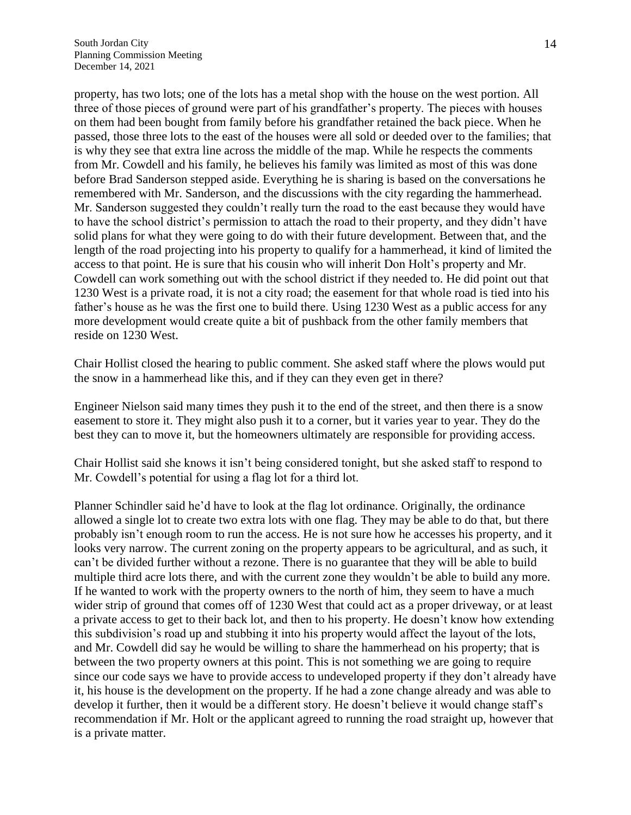property, has two lots; one of the lots has a metal shop with the house on the west portion. All three of those pieces of ground were part of his grandfather's property. The pieces with houses on them had been bought from family before his grandfather retained the back piece. When he passed, those three lots to the east of the houses were all sold or deeded over to the families; that is why they see that extra line across the middle of the map. While he respects the comments from Mr. Cowdell and his family, he believes his family was limited as most of this was done before Brad Sanderson stepped aside. Everything he is sharing is based on the conversations he remembered with Mr. Sanderson, and the discussions with the city regarding the hammerhead. Mr. Sanderson suggested they couldn't really turn the road to the east because they would have to have the school district's permission to attach the road to their property, and they didn't have solid plans for what they were going to do with their future development. Between that, and the length of the road projecting into his property to qualify for a hammerhead, it kind of limited the access to that point. He is sure that his cousin who will inherit Don Holt's property and Mr. Cowdell can work something out with the school district if they needed to. He did point out that 1230 West is a private road, it is not a city road; the easement for that whole road is tied into his father's house as he was the first one to build there. Using 1230 West as a public access for any more development would create quite a bit of pushback from the other family members that reside on 1230 West.

Chair Hollist closed the hearing to public comment. She asked staff where the plows would put the snow in a hammerhead like this, and if they can they even get in there?

Engineer Nielson said many times they push it to the end of the street, and then there is a snow easement to store it. They might also push it to a corner, but it varies year to year. They do the best they can to move it, but the homeowners ultimately are responsible for providing access.

Chair Hollist said she knows it isn't being considered tonight, but she asked staff to respond to Mr. Cowdell's potential for using a flag lot for a third lot.

Planner Schindler said he'd have to look at the flag lot ordinance. Originally, the ordinance allowed a single lot to create two extra lots with one flag. They may be able to do that, but there probably isn't enough room to run the access. He is not sure how he accesses his property, and it looks very narrow. The current zoning on the property appears to be agricultural, and as such, it can't be divided further without a rezone. There is no guarantee that they will be able to build multiple third acre lots there, and with the current zone they wouldn't be able to build any more. If he wanted to work with the property owners to the north of him, they seem to have a much wider strip of ground that comes off of 1230 West that could act as a proper driveway, or at least a private access to get to their back lot, and then to his property. He doesn't know how extending this subdivision's road up and stubbing it into his property would affect the layout of the lots, and Mr. Cowdell did say he would be willing to share the hammerhead on his property; that is between the two property owners at this point. This is not something we are going to require since our code says we have to provide access to undeveloped property if they don't already have it, his house is the development on the property. If he had a zone change already and was able to develop it further, then it would be a different story. He doesn't believe it would change staff's recommendation if Mr. Holt or the applicant agreed to running the road straight up, however that is a private matter.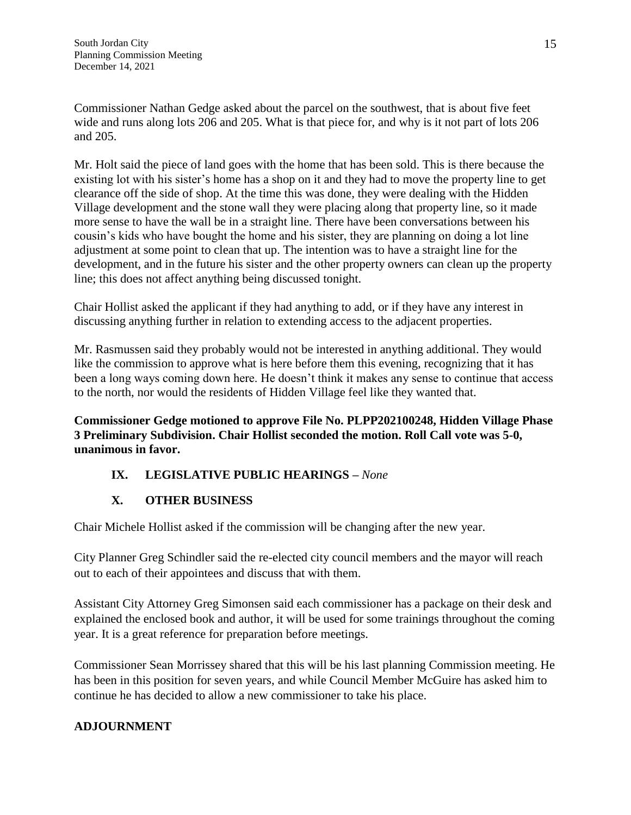Commissioner Nathan Gedge asked about the parcel on the southwest, that is about five feet wide and runs along lots 206 and 205. What is that piece for, and why is it not part of lots 206 and 205.

Mr. Holt said the piece of land goes with the home that has been sold. This is there because the existing lot with his sister's home has a shop on it and they had to move the property line to get clearance off the side of shop. At the time this was done, they were dealing with the Hidden Village development and the stone wall they were placing along that property line, so it made more sense to have the wall be in a straight line. There have been conversations between his cousin's kids who have bought the home and his sister, they are planning on doing a lot line adjustment at some point to clean that up. The intention was to have a straight line for the development, and in the future his sister and the other property owners can clean up the property line; this does not affect anything being discussed tonight.

Chair Hollist asked the applicant if they had anything to add, or if they have any interest in discussing anything further in relation to extending access to the adjacent properties.

Mr. Rasmussen said they probably would not be interested in anything additional. They would like the commission to approve what is here before them this evening, recognizing that it has been a long ways coming down here. He doesn't think it makes any sense to continue that access to the north, nor would the residents of Hidden Village feel like they wanted that.

**Commissioner Gedge motioned to approve File No. PLPP202100248, Hidden Village Phase 3 Preliminary Subdivision. Chair Hollist seconded the motion. Roll Call vote was 5-0, unanimous in favor.**

# **IX. LEGISLATIVE PUBLIC HEARINGS –** *None*

# **X. OTHER BUSINESS**

Chair Michele Hollist asked if the commission will be changing after the new year.

City Planner Greg Schindler said the re-elected city council members and the mayor will reach out to each of their appointees and discuss that with them.

Assistant City Attorney Greg Simonsen said each commissioner has a package on their desk and explained the enclosed book and author, it will be used for some trainings throughout the coming year. It is a great reference for preparation before meetings.

Commissioner Sean Morrissey shared that this will be his last planning Commission meeting. He has been in this position for seven years, and while Council Member McGuire has asked him to continue he has decided to allow a new commissioner to take his place.

# **ADJOURNMENT**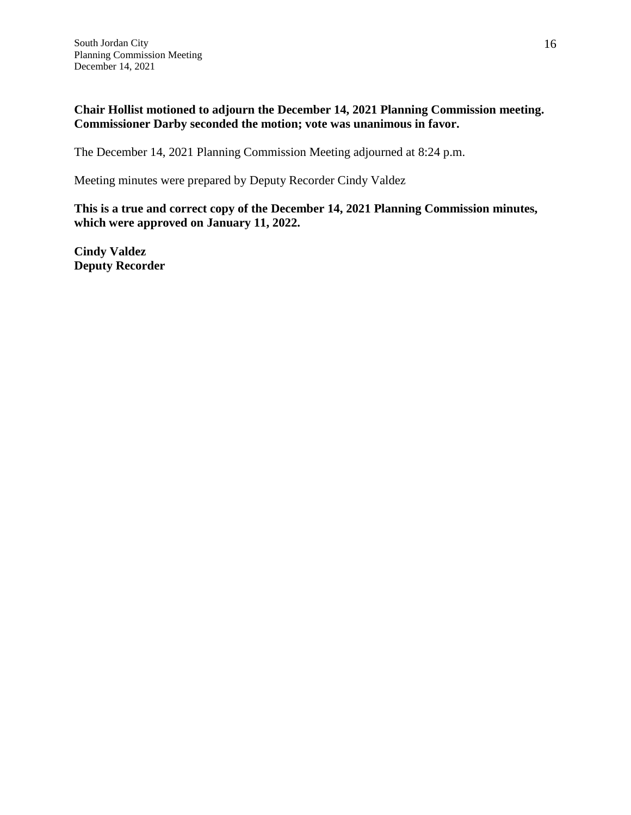# **Chair Hollist motioned to adjourn the December 14, 2021 Planning Commission meeting. Commissioner Darby seconded the motion; vote was unanimous in favor.**

The December 14, 2021 Planning Commission Meeting adjourned at 8:24 p.m.

Meeting minutes were prepared by Deputy Recorder Cindy Valdez

**This is a true and correct copy of the December 14, 2021 Planning Commission minutes, which were approved on January 11, 2022.**

**Cindy Valdez Deputy Recorder**